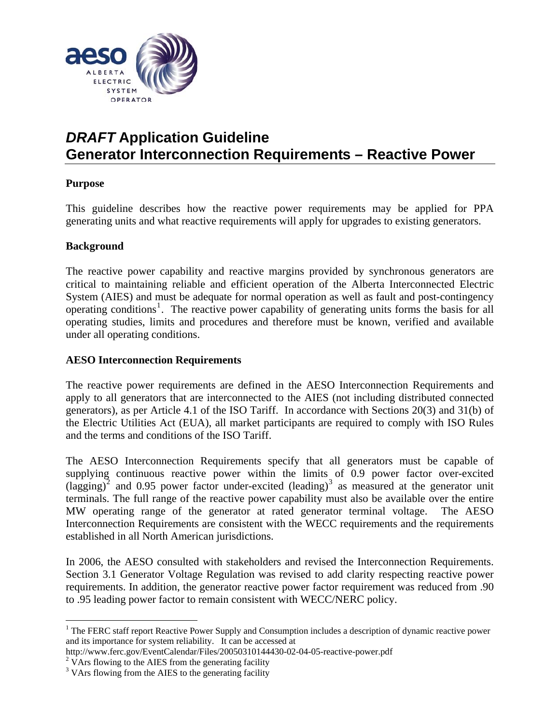

# *DRAFT* **Application Guideline Generator Interconnection Requirements – Reactive Power**

### **Purpose**

This guideline describes how the reactive power requirements may be applied for PPA generating units and what reactive requirements will apply for upgrades to existing generators.

### **Background**

The reactive power capability and reactive margins provided by synchronous generators are critical to maintaining reliable and efficient operation of the Alberta Interconnected Electric System (AIES) and must be adequate for normal operation as well as fault and post-contingency operating conditions<sup>[1](#page-0-0)</sup>. The reactive power capability of generating units forms the basis for all operating studies, limits and procedures and therefore must be known, verified and available under all operating conditions.

## **AESO Interconnection Requirements**

The reactive power requirements are defined in the AESO Interconnection Requirements and apply to all generators that are interconnected to the AIES (not including distributed connected generators), as per Article 4.1 of the ISO Tariff. In accordance with Sections 20(3) and 31(b) of the Electric Utilities Act (EUA), all market participants are required to comply with ISO Rules and the terms and conditions of the ISO Tariff.

The AESO Interconnection Requirements specify that all generators must be capable of supplying continuous reactive power within the limits of 0.9 power factor over-excited  $(\text{lagging})^2$  $(\text{lagging})^2$  and 0.95 power factor under-excited  $(\text{leading})^3$  $(\text{leading})^3$  as measured at the generator unit terminals. The full range of the reactive power capability must also be available over the entire MW operating range of the generator at rated generator terminal voltage. The AESO Interconnection Requirements are consistent with the WECC requirements and the requirements established in all North American jurisdictions.

In 2006, the AESO consulted with stakeholders and revised the Interconnection Requirements. Section 3.1 Generator Voltage Regulation was revised to add clarity respecting reactive power requirements. In addition, the generator reactive power factor requirement was reduced from .90 to .95 leading power factor to remain consistent with WECC/NERC policy.

<span id="page-0-0"></span><sup>&</sup>lt;sup>1</sup> The FERC staff report Reactive Power Supply and Consumption includes a description of dynamic reactive power and its importance for system reliability. It can be accessed at

http://www.ferc.gov/EventCalendar/Files/20050310144430-02-04-05-reactive-power.pdf <sup>2</sup> VArs flowing to the AIES from the generating facility

<span id="page-0-1"></span>

<span id="page-0-2"></span><sup>&</sup>lt;sup>3</sup> VArs flowing from the AIES to the generating facility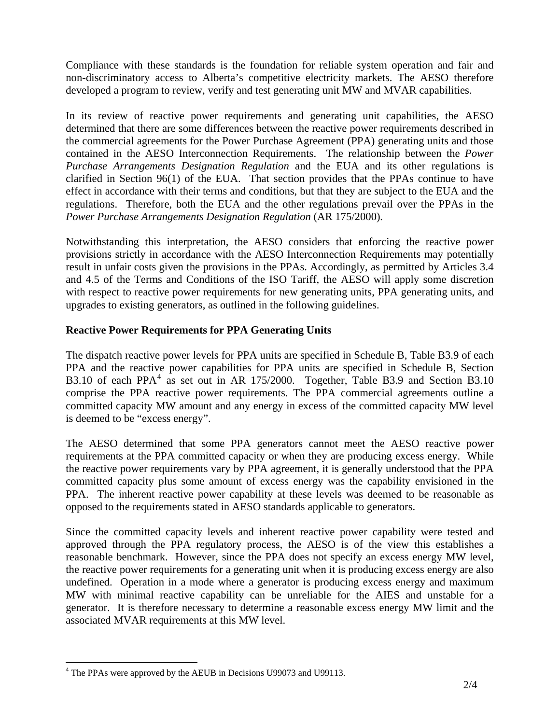Compliance with these standards is the foundation for reliable system operation and fair and non-discriminatory access to Alberta's competitive electricity markets. The AESO therefore developed a program to review, verify and test generating unit MW and MVAR capabilities.

In its review of reactive power requirements and generating unit capabilities, the AESO determined that there are some differences between the reactive power requirements described in the commercial agreements for the Power Purchase Agreement (PPA) generating units and those contained in the AESO Interconnection Requirements. The relationship between the *Power Purchase Arrangements Designation Regulation* and the EUA and its other regulations is clarified in Section 96(1) of the EUA. That section provides that the PPAs continue to have effect in accordance with their terms and conditions, but that they are subject to the EUA and the regulations. Therefore, both the EUA and the other regulations prevail over the PPAs in the *Power Purchase Arrangements Designation Regulation (AR 175/2000).* 

Notwithstanding this interpretation, the AESO considers that enforcing the reactive power provisions strictly in accordance with the AESO Interconnection Requirements may potentially result in unfair costs given the provisions in the PPAs. Accordingly, as permitted by Articles 3.4 and 4.5 of the Terms and Conditions of the ISO Tariff, the AESO will apply some discretion with respect to reactive power requirements for new generating units, PPA generating units, and upgrades to existing generators, as outlined in the following guidelines.

## **Reactive Power Requirements for PPA Generating Units**

The dispatch reactive power levels for PPA units are specified in Schedule B, Table B3.9 of each PPA and the reactive power capabilities for PPA units are specified in Schedule B, Section B3.10 of each PPA<sup>[4](#page-1-0)</sup> as set out in AR 175/2000. Together, Table B3.9 and Section B3.10 comprise the PPA reactive power requirements. The PPA commercial agreements outline a committed capacity MW amount and any energy in excess of the committed capacity MW level is deemed to be "excess energy".

The AESO determined that some PPA generators cannot meet the AESO reactive power requirements at the PPA committed capacity or when they are producing excess energy. While the reactive power requirements vary by PPA agreement, it is generally understood that the PPA committed capacity plus some amount of excess energy was the capability envisioned in the PPA. The inherent reactive power capability at these levels was deemed to be reasonable as opposed to the requirements stated in AESO standards applicable to generators.

Since the committed capacity levels and inherent reactive power capability were tested and approved through the PPA regulatory process, the AESO is of the view this establishes a reasonable benchmark. However, since the PPA does not specify an excess energy MW level, the reactive power requirements for a generating unit when it is producing excess energy are also undefined. Operation in a mode where a generator is producing excess energy and maximum MW with minimal reactive capability can be unreliable for the AIES and unstable for a generator. It is therefore necessary to determine a reasonable excess energy MW limit and the associated MVAR requirements at this MW level.

 $\overline{a}$ 

<span id="page-1-0"></span><sup>&</sup>lt;sup>4</sup> The PPAs were approved by the AEUB in Decisions U99073 and U99113.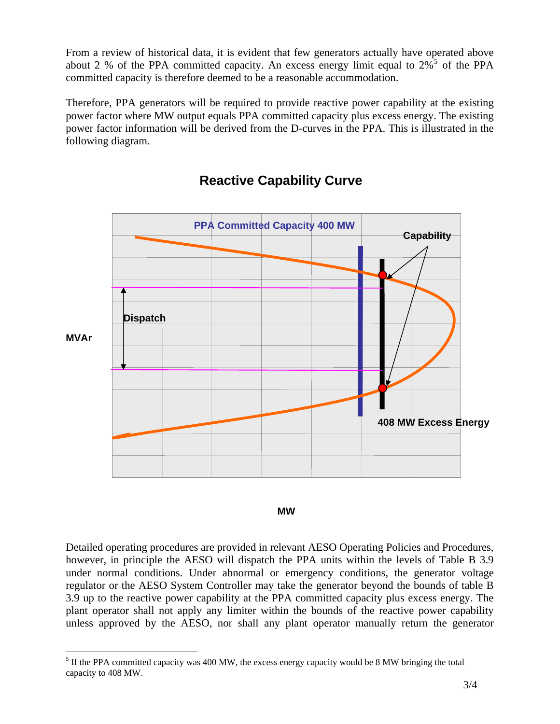From a review of historical data, it is evident that few generators actually have operated above about 2 % of the PPA committed capacity. An excess energy limit equal to  $2\%$ <sup>[5](#page-2-0)</sup> of the PPA committed capacity is therefore deemed to be a reasonable accommodation.

Therefore, PPA generators will be required to provide reactive power capability at the existing power factor where MW output equals PPA committed capacity plus excess energy. The existing power factor information will be derived from the D-curves in the PPA. This is illustrated in the following diagram.



## **Reactive Capability Curve**



Detailed operating procedures are provided in relevant AESO Operating Policies and Procedures, however, in principle the AESO will dispatch the PPA units within the levels of Table B 3.9 under normal conditions. Under abnormal or emergency conditions, the generator voltage regulator or the AESO System Controller may take the generator beyond the bounds of table B 3.9 up to the reactive power capability at the PPA committed capacity plus excess energy. The plant operator shall not apply any limiter within the bounds of the reactive power capability unless approved by the AESO, nor shall any plant operator manually return the generator

<span id="page-2-0"></span><sup>&</sup>lt;sup>5</sup> If the PPA committed capacity was 400 MW, the excess energy capacity would be 8 MW bringing the total capacity to 408 MW.